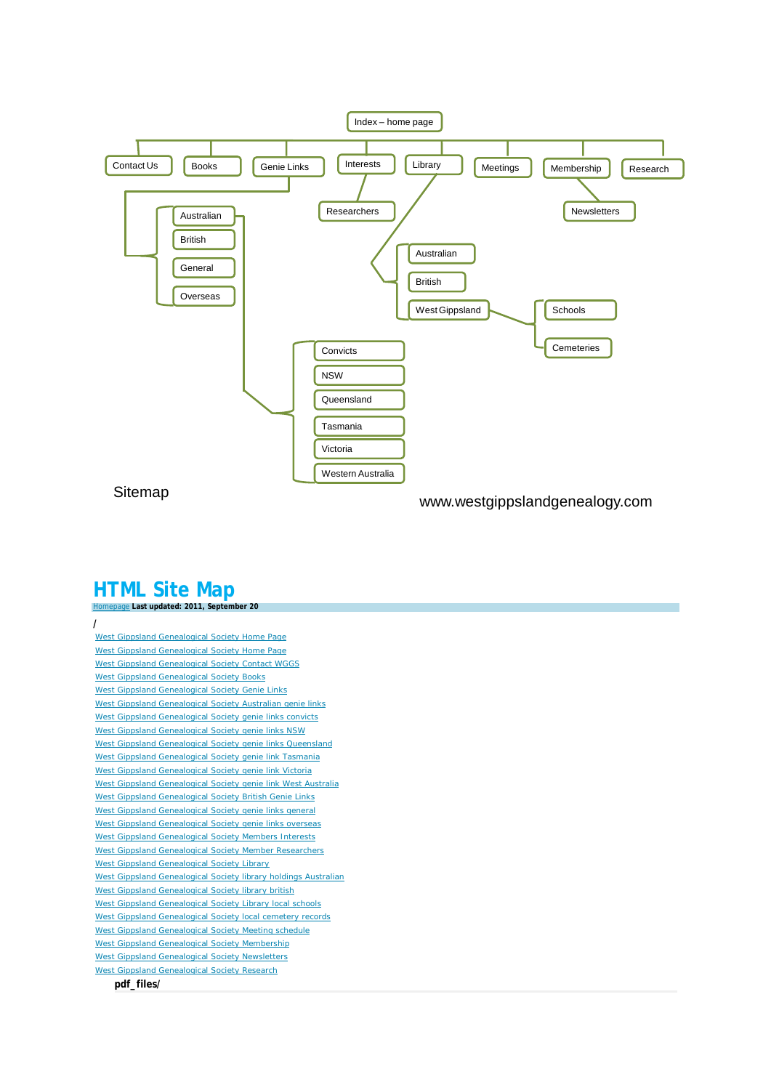

Sitemap **Sitemap** www.westgippslandgenealogy.com

## **HTML Site Map** [Homepage](http://www.westgippslandgenealogy.com/) **Last updated: 2011, September 20**

| West Gippsland Genealogical Society Home Page                   |
|-----------------------------------------------------------------|
| West Gippsland Genealogical Society Home Page                   |
| West Gippsland Genealogical Society Contact WGGS                |
| <b>West Gippsland Genealogical Society Books</b>                |
| West Gippsland Genealogical Society Genie Links                 |
| West Gippsland Genealogical Society Australian genie links      |
| West Gippsland Genealogical Society genie links convicts        |
| West Gippsland Genealogical Society genie links NSW             |
| West Gippsland Genealogical Society genie links Queensland      |
| West Gippsland Genealogical Society genie link Tasmania         |
| West Gippsland Genealogical Society genie link Victoria         |
| West Gippsland Genealogical Society genie link West Australia   |
| West Gippsland Genealogical Society British Genie Links         |
| West Gippsland Genealogical Society genie links general         |
| West Gippsland Genealogical Society genie links overseas        |
| West Gippsland Genealogical Society Members Interests           |
| West Gippsland Genealogical Society Member Researchers          |
| West Gippsland Genealogical Society Library                     |
| West Gippsland Genealogical Society library holdings Australian |
| West Gippsland Genealogical Society library british             |
| West Gippsland Genealogical Society Library local schools       |
| West Gippsland Genealogical Society local cemetery records      |
| West Gippsland Genealogical Society Meeting schedule            |
| West Gippsland Genealogical Society Membership                  |
| West Gippsland Genealogical Society Newsletters                 |
| <b>West Gippsland Genealogical Society Research</b>             |
| pdf files/                                                      |